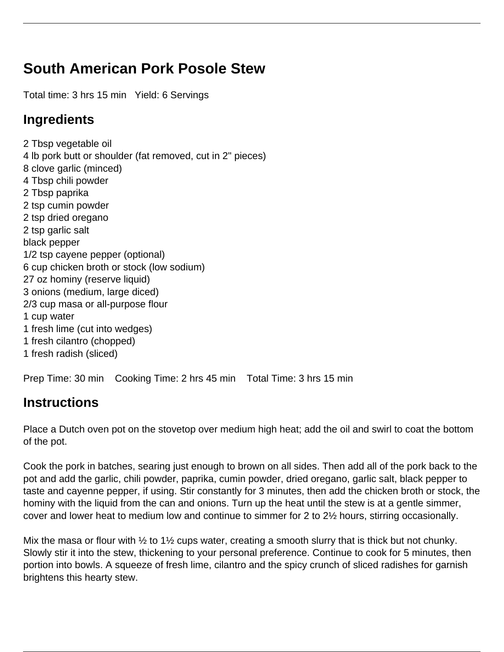## **South American Pork Posole Stew**

Total time: 3 hrs 15 min Yield: 6 Servings

## **Ingredients**

2 Tbsp vegetable oil 4 lb pork butt or shoulder (fat removed, cut in 2" pieces) 8 clove garlic (minced) 4 Tbsp chili powder 2 Tbsp paprika 2 tsp cumin powder 2 tsp dried oregano 2 tsp garlic salt black pepper 1/2 tsp cayene pepper (optional) 6 cup chicken broth or stock (low sodium) 27 oz hominy (reserve liquid) 3 onions (medium, large diced) 2/3 cup masa or all-purpose flour 1 cup water 1 fresh lime (cut into wedges) 1 fresh cilantro (chopped) 1 fresh radish (sliced)

Prep Time: 30 min Cooking Time: 2 hrs 45 min Total Time: 3 hrs 15 min

## **Instructions**

Place a Dutch oven pot on the stovetop over medium high heat; add the oil and swirl to coat the bottom of the pot.

Cook the pork in batches, searing just enough to brown on all sides. Then add all of the pork back to the pot and add the garlic, chili powder, paprika, cumin powder, dried oregano, garlic salt, black pepper to taste and cayenne pepper, if using. Stir constantly for 3 minutes, then add the chicken broth or stock, the hominy with the liquid from the can and onions. Turn up the heat until the stew is at a gentle simmer, cover and lower heat to medium low and continue to simmer for 2 to 2½ hours, stirring occasionally.

Mix the masa or flour with  $\frac{1}{2}$  to 1 $\frac{1}{2}$  cups water, creating a smooth slurry that is thick but not chunky. Slowly stir it into the stew, thickening to your personal preference. Continue to cook for 5 minutes, then portion into bowls. A squeeze of fresh lime, cilantro and the spicy crunch of sliced radishes for garnish brightens this hearty stew.